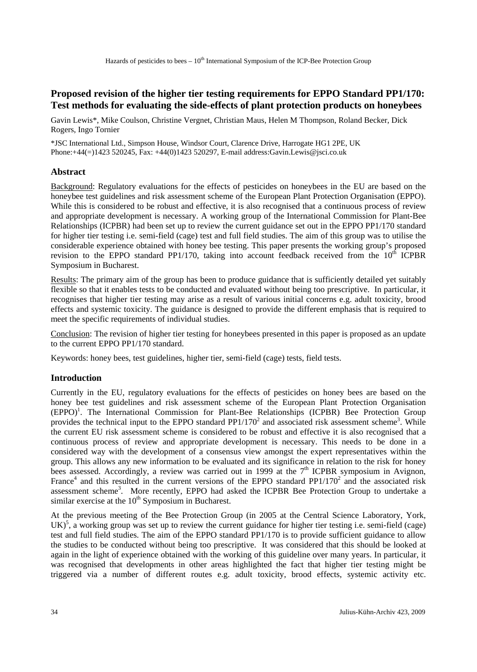# **Proposed revision of the higher tier testing requirements for EPPO Standard PP1/170: Test methods for evaluating the side-effects of plant protection products on honeybees**

Gavin Lewis\*, Mike Coulson, Christine Vergnet, Christian Maus, Helen M Thompson, Roland Becker, Dick Rogers, Ingo Tornier

\*JSC International Ltd., Simpson House, Windsor Court, Clarence Drive, Harrogate HG1 2PE, UK Phone:+44(=)1423 520245, Fax: +44(0)1423 520297, E-mail address:Gavin.Lewis@jsci.co.uk

# **Abstract**

Background: Regulatory evaluations for the effects of pesticides on honeybees in the EU are based on the honeybee test guidelines and risk assessment scheme of the European Plant Protection Organisation (EPPO). While this is considered to be robust and effective, it is also recognised that a continuous process of review and appropriate development is necessary. A working group of the International Commission for Plant-Bee Relationships (ICPBR) had been set up to review the current guidance set out in the EPPO PP1/170 standard for higher tier testing i.e. semi-field (cage) test and full field studies. The aim of this group was to utilise the considerable experience obtained with honey bee testing. This paper presents the working group's proposed revision to the EPPO standard PP1/170, taking into account feedback received from the  $10<sup>th</sup>$  ICPBR Symposium in Bucharest.

Results: The primary aim of the group has been to produce guidance that is sufficiently detailed yet suitably flexible so that it enables tests to be conducted and evaluated without being too prescriptive. In particular, it recognises that higher tier testing may arise as a result of various initial concerns e.g. adult toxicity, brood effects and systemic toxicity. The guidance is designed to provide the different emphasis that is required to meet the specific requirements of individual studies.

Conclusion: The revision of higher tier testing for honeybees presented in this paper is proposed as an update to the current EPPO PP1/170 standard.

Keywords: honey bees, test guidelines, higher tier, semi-field (cage) tests, field tests.

# **Introduction**

Currently in the EU, regulatory evaluations for the effects of pesticides on honey bees are based on the honey bee test guidelines and risk assessment scheme of the European Plant Protection Organisation (EPPO)<sup>1</sup>. The International Commission for Plant-Bee Relationships (ICPBR) Bee Protection Group provides the technical input to the EPPO standard  $PP1/170<sup>2</sup>$  and associated risk assessment scheme<sup>3</sup>. While the current EU risk assessment scheme is considered to be robust and effective it is also recognised that a continuous process of review and appropriate development is necessary. This needs to be done in a considered way with the development of a consensus view amongst the expert representatives within the group. This allows any new information to be evaluated and its significance in relation to the risk for honey bees assessed. Accordingly, a review was carried out in 1999 at the  $7<sup>th</sup>$  ICPBR symposium in Avignon, France<sup>4</sup> and this resulted in the current versions of the EPPO standard  $PP1/170<sup>2</sup>$  and the associated risk assessment scheme<sup>3</sup>. More recently, EPPO had asked the ICPBR Bee Protection Group to undertake a similar exercise at the  $10<sup>th</sup>$  Symposium in Bucharest.

At the previous meeting of the Bee Protection Group (in 2005 at the Central Science Laboratory, York,  $UK)^5$ , a working group was set up to review the current guidance for higher tier testing i.e. semi-field (cage) test and full field studies. The aim of the EPPO standard PP1/170 is to provide sufficient guidance to allow the studies to be conducted without being too prescriptive. It was considered that this should be looked at again in the light of experience obtained with the working of this guideline over many years. In particular, it was recognised that developments in other areas highlighted the fact that higher tier testing might be triggered via a number of different routes e.g. adult toxicity, brood effects, systemic activity etc.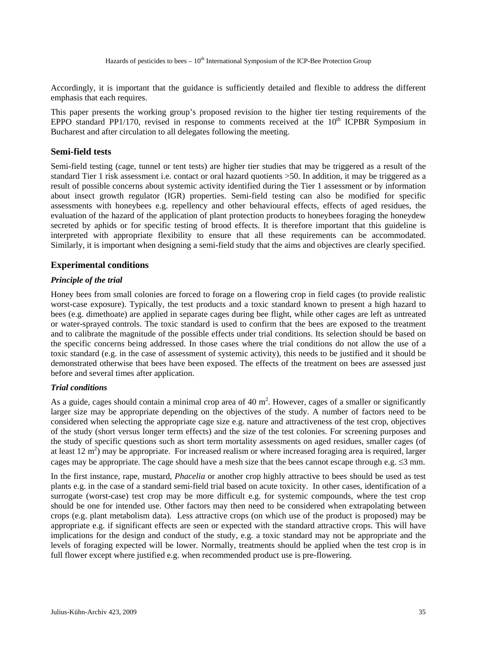Accordingly, it is important that the guidance is sufficiently detailed and flexible to address the different emphasis that each requires.

This paper presents the working group's proposed revision to the higher tier testing requirements of the EPPO standard PP1/170, revised in response to comments received at the  $10<sup>th</sup>$  ICPBR Symposium in Bucharest and after circulation to all delegates following the meeting.

### **Semi-field tests**

Semi-field testing (cage, tunnel or tent tests) are higher tier studies that may be triggered as a result of the standard Tier 1 risk assessment i.e. contact or oral hazard quotients >50. In addition, it may be triggered as a result of possible concerns about systemic activity identified during the Tier 1 assessment or by information about insect growth regulator (IGR) properties. Semi-field testing can also be modified for specific assessments with honeybees e.g. repellency and other behavioural effects, effects of aged residues, the evaluation of the hazard of the application of plant protection products to honeybees foraging the honeydew secreted by aphids or for specific testing of brood effects. It is therefore important that this guideline is interpreted with appropriate flexibility to ensure that all these requirements can be accommodated. Similarly, it is important when designing a semi-field study that the aims and objectives are clearly specified.

### **Experimental conditions**

#### *Principle of the trial*

Honey bees from small colonies are forced to forage on a flowering crop in field cages (to provide realistic worst-case exposure). Typically, the test products and a toxic standard known to present a high hazard to bees (e.g. dimethoate) are applied in separate cages during bee flight, while other cages are left as untreated or water-sprayed controls. The toxic standard is used to confirm that the bees are exposed to the treatment and to calibrate the magnitude of the possible effects under trial conditions. Its selection should be based on the specific concerns being addressed. In those cases where the trial conditions do not allow the use of a toxic standard (e.g. in the case of assessment of systemic activity), this needs to be justified and it should be demonstrated otherwise that bees have been exposed. The effects of the treatment on bees are assessed just before and several times after application.

#### *Trial conditions*

As a guide, cages should contain a minimal crop area of  $40 \text{ m}^2$ . However, cages of a smaller or significantly larger size may be appropriate depending on the objectives of the study. A number of factors need to be considered when selecting the appropriate cage size e.g. nature and attractiveness of the test crop, objectives of the study (short versus longer term effects) and the size of the test colonies. For screening purposes and the study of specific questions such as short term mortality assessments on aged residues, smaller cages (of at least  $12 \text{ m}^2$ ) may be appropriate. For increased realism or where increased foraging area is required, larger cages may be appropriate. The cage should have a mesh size that the bees cannot escape through e.g. ≤3 mm.

In the first instance, rape, mustard, *Phacelia* or another crop highly attractive to bees should be used as test plants e.g. in the case of a standard semi-field trial based on acute toxicity. In other cases, identification of a surrogate (worst-case) test crop may be more difficult e.g. for systemic compounds, where the test crop should be one for intended use. Other factors may then need to be considered when extrapolating between crops (e.g. plant metabolism data). Less attractive crops (on which use of the product is proposed) may be appropriate e.g. if significant effects are seen or expected with the standard attractive crops. This will have implications for the design and conduct of the study, e.g. a toxic standard may not be appropriate and the levels of foraging expected will be lower. Normally, treatments should be applied when the test crop is in full flower except where justified e.g. when recommended product use is pre-flowering.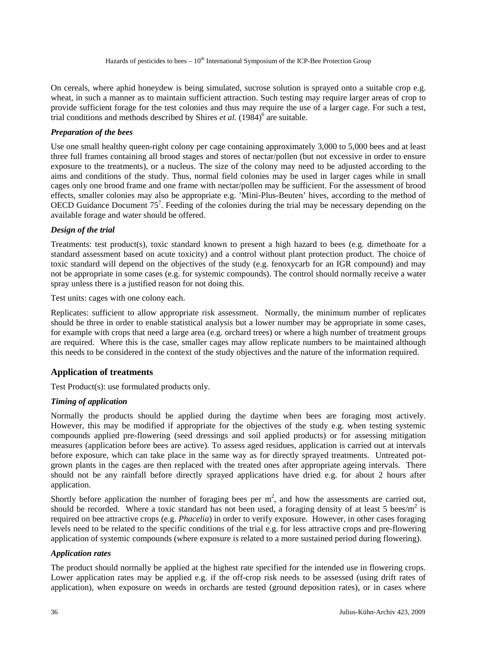On cereals, where aphid honeydew is being simulated, sucrose solution is sprayed onto a suitable crop e.g. wheat, in such a manner as to maintain sufficient attraction. Such testing may require larger areas of crop to provide sufficient forage for the test colonies and thus may require the use of a larger cage. For such a test, trial conditions and methods described by Shires  $et$  al.  $(1984)^6$  are suitable.

### *Preparation of the bees*

Use one small healthy queen-right colony per cage containing approximately 3,000 to 5,000 bees and at least three full frames containing all brood stages and stores of nectar/pollen (but not excessive in order to ensure exposure to the treatments), or a nucleus. The size of the colony may need to be adjusted according to the aims and conditions of the study. Thus, normal field colonies may be used in larger cages while in small cages only one brood frame and one frame with nectar/pollen may be sufficient. For the assessment of brood effects, smaller colonies may also be appropriate e.g. 'Mini-Plus-Beuten' hives, according to the method of OECD Guidance Document 75<sup>7</sup>. Feeding of the colonies during the trial may be necessary depending on the available forage and water should be offered.

### *Design of the trial*

Treatments: test product(s), toxic standard known to present a high hazard to bees (e.g. dimethoate for a standard assessment based on acute toxicity) and a control without plant protection product. The choice of toxic standard will depend on the objectives of the study (e.g. fenoxycarb for an IGR compound) and may not be appropriate in some cases (e.g. for systemic compounds). The control should normally receive a water spray unless there is a justified reason for not doing this.

Test units: cages with one colony each.

Replicates: sufficient to allow appropriate risk assessment. Normally, the minimum number of replicates should be three in order to enable statistical analysis but a lower number may be appropriate in some cases, for example with crops that need a large area (e.g. orchard trees) or where a high number of treatment groups are required. Where this is the case, smaller cages may allow replicate numbers to be maintained although this needs to be considered in the context of the study objectives and the nature of the information required.

# **Application of treatments**

Test Product(s): use formulated products only.

### *Timing of application*

Normally the products should be applied during the daytime when bees are foraging most actively. However, this may be modified if appropriate for the objectives of the study e.g. when testing systemic compounds applied pre-flowering (seed dressings and soil applied products) or for assessing mitigation measures (application before bees are active). To assess aged residues, application is carried out at intervals before exposure, which can take place in the same way as for directly sprayed treatments. Untreated potgrown plants in the cages are then replaced with the treated ones after appropriate ageing intervals. There should not be any rainfall before directly sprayed applications have dried e.g. for about 2 hours after application.

Shortly before application the number of foraging bees per  $m^2$ , and how the assessments are carried out, should be recorded. Where a toxic standard has not been used, a foraging density of at least 5 bees/ $m^2$  is required on bee attractive crops (e.g. *Phacelia*) in order to verify exposure. However, in other cases foraging levels need to be related to the specific conditions of the trial e.g. for less attractive crops and pre-flowering application of systemic compounds (where exposure is related to a more sustained period during flowering).

### *Application rates*

The product should normally be applied at the highest rate specified for the intended use in flowering crops. Lower application rates may be applied e.g. if the off-crop risk needs to be assessed (using drift rates of application), when exposure on weeds in orchards are tested (ground deposition rates), or in cases where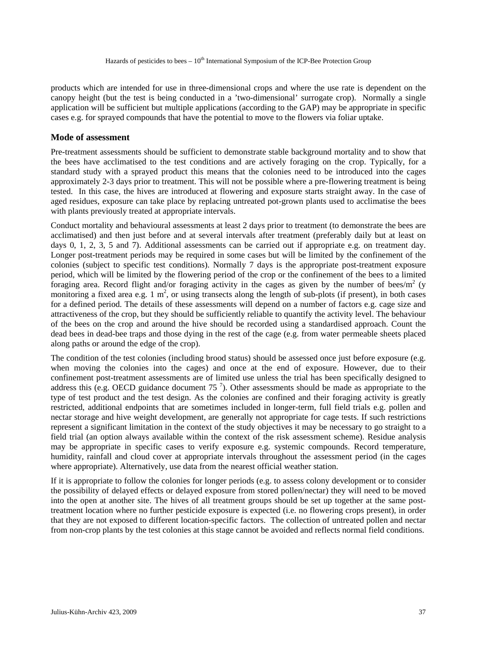products which are intended for use in three-dimensional crops and where the use rate is dependent on the canopy height (but the test is being conducted in a 'two-dimensional' surrogate crop). Normally a single application will be sufficient but multiple applications (according to the GAP) may be appropriate in specific cases e.g. for sprayed compounds that have the potential to move to the flowers via foliar uptake.

# **Mode of assessment**

Pre-treatment assessments should be sufficient to demonstrate stable background mortality and to show that the bees have acclimatised to the test conditions and are actively foraging on the crop. Typically, for a standard study with a sprayed product this means that the colonies need to be introduced into the cages approximately 2-3 days prior to treatment. This will not be possible where a pre-flowering treatment is being tested. In this case, the hives are introduced at flowering and exposure starts straight away. In the case of aged residues, exposure can take place by replacing untreated pot-grown plants used to acclimatise the bees with plants previously treated at appropriate intervals.

Conduct mortality and behavioural assessments at least 2 days prior to treatment (to demonstrate the bees are acclimatised) and then just before and at several intervals after treatment (preferably daily but at least on days 0, 1, 2, 3, 5 and 7). Additional assessments can be carried out if appropriate e.g. on treatment day. Longer post-treatment periods may be required in some cases but will be limited by the confinement of the colonies (subject to specific test conditions). Normally 7 days is the appropriate post-treatment exposure period, which will be limited by the flowering period of the crop or the confinement of the bees to a limited foraging area. Record flight and/or foraging activity in the cages as given by the number of bees/m<sup>2</sup> (y monitoring a fixed area e.g.  $1 \text{ m}^2$ , or using transects along the length of sub-plots (if present), in both cases for a defined period. The details of these assessments will depend on a number of factors e.g. cage size and attractiveness of the crop, but they should be sufficiently reliable to quantify the activity level. The behaviour of the bees on the crop and around the hive should be recorded using a standardised approach. Count the dead bees in dead-bee traps and those dying in the rest of the cage (e.g. from water permeable sheets placed along paths or around the edge of the crop).

The condition of the test colonies (including brood status) should be assessed once just before exposure (e.g. when moving the colonies into the cages) and once at the end of exposure. However, due to their confinement post-treatment assessments are of limited use unless the trial has been specifically designed to address this (e.g. OECD guidance document 75<sup>7</sup>). Other assessments should be made as appropriate to the type of test product and the test design. As the colonies are confined and their foraging activity is greatly restricted, additional endpoints that are sometimes included in longer-term, full field trials e.g. pollen and nectar storage and hive weight development, are generally not appropriate for cage tests. If such restrictions represent a significant limitation in the context of the study objectives it may be necessary to go straight to a field trial (an option always available within the context of the risk assessment scheme). Residue analysis may be appropriate in specific cases to verify exposure e.g. systemic compounds. Record temperature, humidity, rainfall and cloud cover at appropriate intervals throughout the assessment period (in the cages where appropriate). Alternatively, use data from the nearest official weather station.

If it is appropriate to follow the colonies for longer periods (e.g. to assess colony development or to consider the possibility of delayed effects or delayed exposure from stored pollen/nectar) they will need to be moved into the open at another site. The hives of all treatment groups should be set up together at the same posttreatment location where no further pesticide exposure is expected (i.e. no flowering crops present), in order that they are not exposed to different location-specific factors. The collection of untreated pollen and nectar from non-crop plants by the test colonies at this stage cannot be avoided and reflects normal field conditions.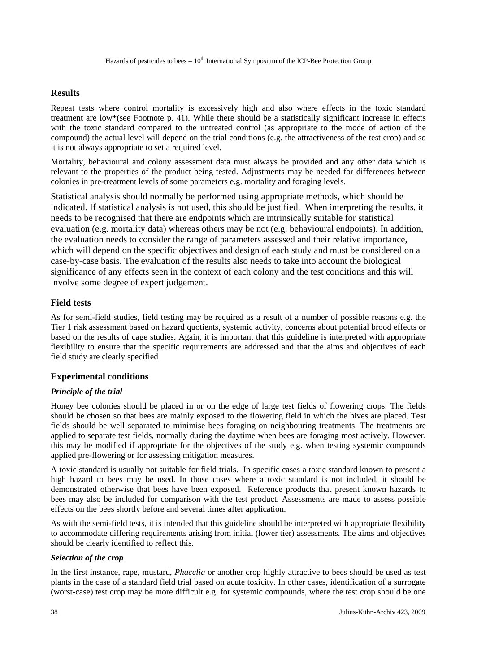# **Results**

Repeat tests where control mortality is excessively high and also where effects in the toxic standard treatment are low**\***(see Footnote p. 41). While there should be a statistically significant increase in effects with the toxic standard compared to the untreated control (as appropriate to the mode of action of the compound) the actual level will depend on the trial conditions (e.g. the attractiveness of the test crop) and so it is not always appropriate to set a required level.

Mortality, behavioural and colony assessment data must always be provided and any other data which is relevant to the properties of the product being tested. Adjustments may be needed for differences between colonies in pre-treatment levels of some parameters e.g. mortality and foraging levels.

Statistical analysis should normally be performed using appropriate methods, which should be indicated. If statistical analysis is not used, this should be justified. When interpreting the results, it needs to be recognised that there are endpoints which are intrinsically suitable for statistical evaluation (e.g. mortality data) whereas others may be not (e.g. behavioural endpoints). In addition, the evaluation needs to consider the range of parameters assessed and their relative importance, which will depend on the specific objectives and design of each study and must be considered on a case-by-case basis. The evaluation of the results also needs to take into account the biological significance of any effects seen in the context of each colony and the test conditions and this will involve some degree of expert judgement.

# **Field tests**

As for semi-field studies, field testing may be required as a result of a number of possible reasons e.g. the Tier 1 risk assessment based on hazard quotients, systemic activity, concerns about potential brood effects or based on the results of cage studies. Again, it is important that this guideline is interpreted with appropriate flexibility to ensure that the specific requirements are addressed and that the aims and objectives of each field study are clearly specified

# **Experimental conditions**

# *Principle of the trial*

Honey bee colonies should be placed in or on the edge of large test fields of flowering crops. The fields should be chosen so that bees are mainly exposed to the flowering field in which the hives are placed. Test fields should be well separated to minimise bees foraging on neighbouring treatments. The treatments are applied to separate test fields, normally during the daytime when bees are foraging most actively. However, this may be modified if appropriate for the objectives of the study e.g. when testing systemic compounds applied pre-flowering or for assessing mitigation measures.

A toxic standard is usually not suitable for field trials. In specific cases a toxic standard known to present a high hazard to bees may be used. In those cases where a toxic standard is not included, it should be demonstrated otherwise that bees have been exposed. Reference products that present known hazards to bees may also be included for comparison with the test product. Assessments are made to assess possible effects on the bees shortly before and several times after application.

As with the semi-field tests, it is intended that this guideline should be interpreted with appropriate flexibility to accommodate differing requirements arising from initial (lower tier) assessments. The aims and objectives should be clearly identified to reflect this.

# *Selection of the crop*

In the first instance, rape, mustard, *Phacelia* or another crop highly attractive to bees should be used as test plants in the case of a standard field trial based on acute toxicity. In other cases, identification of a surrogate (worst-case) test crop may be more difficult e.g. for systemic compounds, where the test crop should be one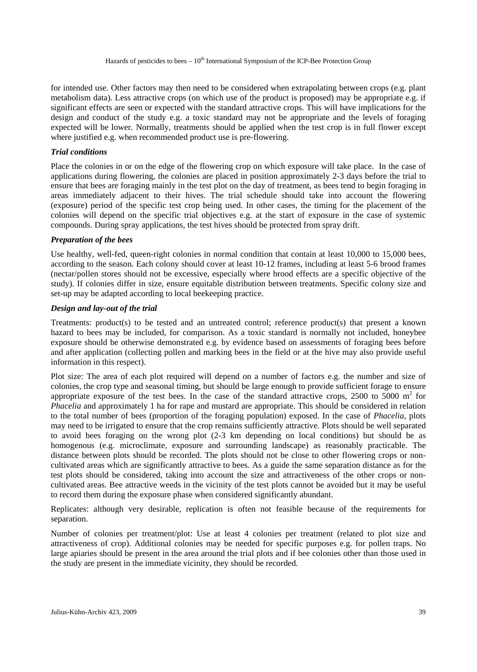for intended use. Other factors may then need to be considered when extrapolating between crops (e.g. plant metabolism data). Less attractive crops (on which use of the product is proposed) may be appropriate e.g. if significant effects are seen or expected with the standard attractive crops. This will have implications for the design and conduct of the study e.g. a toxic standard may not be appropriate and the levels of foraging expected will be lower. Normally, treatments should be applied when the test crop is in full flower except where justified e.g. when recommended product use is pre-flowering.

# *Trial conditions*

Place the colonies in or on the edge of the flowering crop on which exposure will take place. In the case of applications during flowering, the colonies are placed in position approximately 2-3 days before the trial to ensure that bees are foraging mainly in the test plot on the day of treatment, as bees tend to begin foraging in areas immediately adjacent to their hives. The trial schedule should take into account the flowering (exposure) period of the specific test crop being used. In other cases, the timing for the placement of the colonies will depend on the specific trial objectives e.g. at the start of exposure in the case of systemic compounds. During spray applications, the test hives should be protected from spray drift.

# *Preparation of the bees*

Use healthy, well-fed, queen-right colonies in normal condition that contain at least 10,000 to 15,000 bees, according to the season. Each colony should cover at least 10-12 frames, including at least 5-6 brood frames (nectar/pollen stores should not be excessive, especially where brood effects are a specific objective of the study). If colonies differ in size, ensure equitable distribution between treatments. Specific colony size and set-up may be adapted according to local beekeeping practice.

### *Design and lay-out of the trial*

Treatments: product(s) to be tested and an untreated control; reference product(s) that present a known hazard to bees may be included, for comparison. As a toxic standard is normally not included, honeybee exposure should be otherwise demonstrated e.g. by evidence based on assessments of foraging bees before and after application (collecting pollen and marking bees in the field or at the hive may also provide useful information in this respect).

Plot size: The area of each plot required will depend on a number of factors e.g. the number and size of colonies, the crop type and seasonal timing, but should be large enough to provide sufficient forage to ensure appropriate exposure of the test bees. In the case of the standard attractive crops, 2500 to 5000  $m<sup>2</sup>$  for *Phacelia* and approximately 1 ha for rape and mustard are appropriate. This should be considered in relation to the total number of bees (proportion of the foraging population) exposed. In the case of *Phacelia*, plots may need to be irrigated to ensure that the crop remains sufficiently attractive. Plots should be well separated to avoid bees foraging on the wrong plot (2-3 km depending on local conditions) but should be as homogenous (e.g. microclimate, exposure and surrounding landscape) as reasonably practicable. The distance between plots should be recorded. The plots should not be close to other flowering crops or noncultivated areas which are significantly attractive to bees. As a guide the same separation distance as for the test plots should be considered, taking into account the size and attractiveness of the other crops or noncultivated areas. Bee attractive weeds in the vicinity of the test plots cannot be avoided but it may be useful to record them during the exposure phase when considered significantly abundant.

Replicates: although very desirable, replication is often not feasible because of the requirements for separation.

Number of colonies per treatment/plot: Use at least 4 colonies per treatment (related to plot size and attractiveness of crop). Additional colonies may be needed for specific purposes e.g. for pollen traps. No large apiaries should be present in the area around the trial plots and if bee colonies other than those used in the study are present in the immediate vicinity, they should be recorded.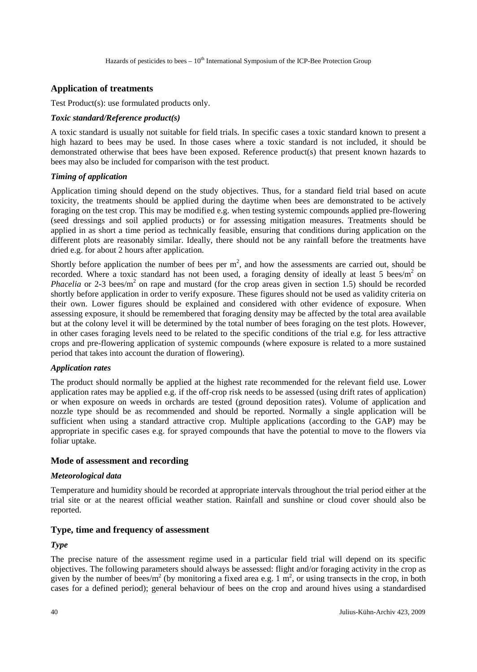# **Application of treatments**

Test Product(s): use formulated products only.

### *Toxic standard/Reference product(s)*

A toxic standard is usually not suitable for field trials. In specific cases a toxic standard known to present a high hazard to bees may be used. In those cases where a toxic standard is not included, it should be demonstrated otherwise that bees have been exposed. Reference product(s) that present known hazards to bees may also be included for comparison with the test product.

### *Timing of application*

Application timing should depend on the study objectives. Thus, for a standard field trial based on acute toxicity, the treatments should be applied during the daytime when bees are demonstrated to be actively foraging on the test crop. This may be modified e.g. when testing systemic compounds applied pre-flowering (seed dressings and soil applied products) or for assessing mitigation measures. Treatments should be applied in as short a time period as technically feasible, ensuring that conditions during application on the different plots are reasonably similar. Ideally, there should not be any rainfall before the treatments have dried e.g. for about 2 hours after application.

Shortly before application the number of bees per  $m^2$ , and how the assessments are carried out, should be recorded. Where a toxic standard has not been used, a foraging density of ideally at least 5 bees/ $m<sup>2</sup>$  on *Phacelia* or 2-3 bees/ $m^2$  on rape and mustard (for the crop areas given in section 1.5) should be recorded shortly before application in order to verify exposure. These figures should not be used as validity criteria on their own. Lower figures should be explained and considered with other evidence of exposure. When assessing exposure, it should be remembered that foraging density may be affected by the total area available but at the colony level it will be determined by the total number of bees foraging on the test plots. However, in other cases foraging levels need to be related to the specific conditions of the trial e.g. for less attractive crops and pre-flowering application of systemic compounds (where exposure is related to a more sustained period that takes into account the duration of flowering).

### *Application rates*

The product should normally be applied at the highest rate recommended for the relevant field use. Lower application rates may be applied e.g. if the off-crop risk needs to be assessed (using drift rates of application) or when exposure on weeds in orchards are tested (ground deposition rates). Volume of application and nozzle type should be as recommended and should be reported. Normally a single application will be sufficient when using a standard attractive crop. Multiple applications (according to the GAP) may be appropriate in specific cases e.g. for sprayed compounds that have the potential to move to the flowers via foliar uptake.

# **Mode of assessment and recording**

### *Meteorological data*

Temperature and humidity should be recorded at appropriate intervals throughout the trial period either at the trial site or at the nearest official weather station. Rainfall and sunshine or cloud cover should also be reported.

# **Type, time and frequency of assessment**

# *Type*

The precise nature of the assessment regime used in a particular field trial will depend on its specific objectives. The following parameters should always be assessed: flight and/or foraging activity in the crop as given by the number of bees/m<sup>2</sup> (by monitoring a fixed area e.g. 1 m<sup>2</sup>, or using transects in the crop, in both cases for a defined period); general behaviour of bees on the crop and around hives using a standardised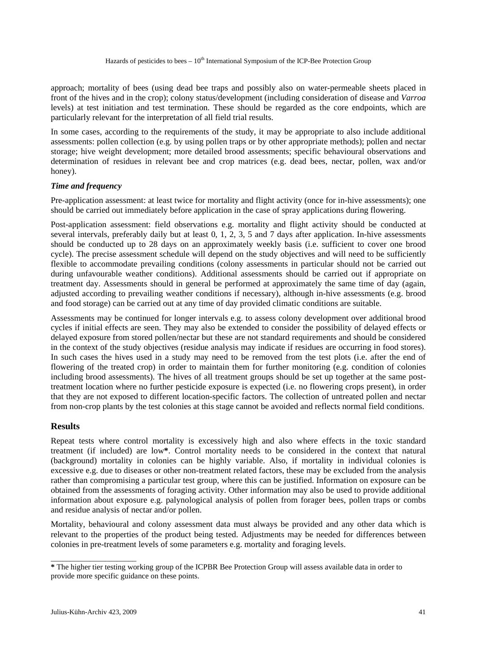approach; mortality of bees (using dead bee traps and possibly also on water-permeable sheets placed in front of the hives and in the crop); colony status/development (including consideration of disease and *Varroa* levels) at test initiation and test termination. These should be regarded as the core endpoints, which are particularly relevant for the interpretation of all field trial results.

In some cases, according to the requirements of the study, it may be appropriate to also include additional assessments: pollen collection (e.g. by using pollen traps or by other appropriate methods); pollen and nectar storage; hive weight development; more detailed brood assessments; specific behavioural observations and determination of residues in relevant bee and crop matrices (e.g. dead bees, nectar, pollen, wax and/or honey).

### *Time and frequency*

Pre-application assessment: at least twice for mortality and flight activity (once for in-hive assessments); one should be carried out immediately before application in the case of spray applications during flowering.

Post-application assessment: field observations e.g. mortality and flight activity should be conducted at several intervals, preferably daily but at least 0, 1, 2, 3, 5 and 7 days after application. In-hive assessments should be conducted up to 28 days on an approximately weekly basis (i.e. sufficient to cover one brood cycle). The precise assessment schedule will depend on the study objectives and will need to be sufficiently flexible to accommodate prevailing conditions (colony assessments in particular should not be carried out during unfavourable weather conditions). Additional assessments should be carried out if appropriate on treatment day. Assessments should in general be performed at approximately the same time of day (again, adjusted according to prevailing weather conditions if necessary), although in-hive assessments (e.g. brood and food storage) can be carried out at any time of day provided climatic conditions are suitable.

Assessments may be continued for longer intervals e.g. to assess colony development over additional brood cycles if initial effects are seen. They may also be extended to consider the possibility of delayed effects or delayed exposure from stored pollen/nectar but these are not standard requirements and should be considered in the context of the study objectives (residue analysis may indicate if residues are occurring in food stores). In such cases the hives used in a study may need to be removed from the test plots (i.e. after the end of flowering of the treated crop) in order to maintain them for further monitoring (e.g. condition of colonies including brood assessments). The hives of all treatment groups should be set up together at the same posttreatment location where no further pesticide exposure is expected (i.e. no flowering crops present), in order that they are not exposed to different location-specific factors. The collection of untreated pollen and nectar from non-crop plants by the test colonies at this stage cannot be avoided and reflects normal field conditions.

# **Results**

Repeat tests where control mortality is excessively high and also where effects in the toxic standard treatment (if included) are low**\***. Control mortality needs to be considered in the context that natural (background) mortality in colonies can be highly variable. Also, if mortality in individual colonies is excessive e.g. due to diseases or other non-treatment related factors, these may be excluded from the analysis rather than compromising a particular test group, where this can be justified. Information on exposure can be obtained from the assessments of foraging activity. Other information may also be used to provide additional information about exposure e.g. palynological analysis of pollen from forager bees, pollen traps or combs and residue analysis of nectar and/or pollen.

Mortality, behavioural and colony assessment data must always be provided and any other data which is relevant to the properties of the product being tested. Adjustments may be needed for differences between colonies in pre-treatment levels of some parameters e.g. mortality and foraging levels.

 $\overline{\phantom{a}}$  , where  $\overline{\phantom{a}}$  , where  $\overline{\phantom{a}}$  , where  $\overline{\phantom{a}}$ 

**<sup>\*</sup>** The higher tier testing working group of the ICPBR Bee Protection Group will assess available data in order to provide more specific guidance on these points.